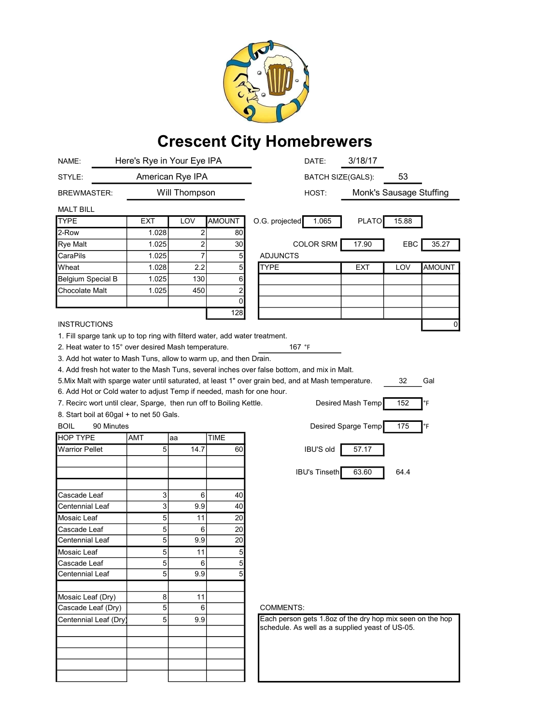

## Crescent City Homebrewers

| NAME:                                                                                                            | Here's Rye in Your Eye IPA |                |                                  | 3/18/17<br>DATE:                                          |
|------------------------------------------------------------------------------------------------------------------|----------------------------|----------------|----------------------------------|-----------------------------------------------------------|
| STYLE:                                                                                                           | American Rye IPA           |                |                                  | 53<br><b>BATCH SIZE(GALS):</b>                            |
| <b>BREWMASTER:</b>                                                                                               |                            | Will Thompson  |                                  | Monk's Sausage Stuffing<br>HOST:                          |
| <b>MALT BILL</b>                                                                                                 |                            |                |                                  |                                                           |
| <b>TYPE</b>                                                                                                      | EXT                        | LOV            | <b>AMOUNT</b>                    | O.G. projected<br>1.065<br><b>PLATO</b><br>15.88          |
| 2-Row                                                                                                            | 1.028                      | 2              | 80                               |                                                           |
| Rye Malt                                                                                                         | 1.025                      | $\overline{a}$ | 30 <sup>°</sup>                  | <b>COLOR SRM</b><br>17.90<br>EBC<br>35.27                 |
| CaraPils                                                                                                         | 1.025                      | $\overline{7}$ | $\overline{5}$                   | <b>ADJUNCTS</b>                                           |
| Wheat                                                                                                            | 1.028                      | 2.2            | 5 <sup>1</sup>                   | <b>TYPE</b><br><b>AMOUNT</b><br>EXT<br>LOV                |
| <b>Belgium Special B</b>                                                                                         | 1.025                      | 130            | 6                                |                                                           |
| Chocolate Malt                                                                                                   | 1.025                      | 450            | $\mathbf{2}$                     |                                                           |
|                                                                                                                  |                            |                | 0                                |                                                           |
|                                                                                                                  |                            |                | 128                              |                                                           |
| <b>INSTRUCTIONS</b>                                                                                              |                            |                |                                  | 0                                                         |
| 1. Fill sparge tank up to top ring with filterd water, add water treatment.                                      |                            |                |                                  |                                                           |
| 2. Heat water to 15° over desired Mash temperature.<br>167 °F                                                    |                            |                |                                  |                                                           |
| 3. Add hot water to Mash Tuns, allow to warm up, and then Drain.                                                 |                            |                |                                  |                                                           |
| 4. Add fresh hot water to the Mash Tuns, several inches over false bottom, and mix in Malt.                      |                            |                |                                  |                                                           |
| 5. Mix Malt with sparge water until saturated, at least 1" over grain bed, and at Mash temperature.<br>32<br>Gal |                            |                |                                  |                                                           |
| 6. Add Hot or Cold water to adjust Temp if needed, mash for one hour.                                            |                            |                |                                  |                                                           |
| 7. Recirc wort until clear, Sparge, then run off to Boiling Kettle.<br>Desired Mash Temp<br>152<br>°F            |                            |                |                                  |                                                           |
| 8. Start boil at 60gal + to net 50 Gals.                                                                         |                            |                |                                  |                                                           |
| <b>BOIL</b><br>90 Minutes<br>Desired Sparge Temp<br>175<br>°F                                                    |                            |                |                                  |                                                           |
| <b>HOP TYPE</b>                                                                                                  | AMT                        | aa             | <b>TIME</b>                      |                                                           |
| <b>Warrior Pellet</b>                                                                                            | 5                          | 14.7           | 60                               | <b>IBU'S old</b><br>57.17                                 |
|                                                                                                                  |                            |                |                                  |                                                           |
|                                                                                                                  |                            |                |                                  | <b>IBU's Tinseth</b><br>63.60<br>64.4                     |
|                                                                                                                  |                            |                |                                  |                                                           |
| Cascade Leaf                                                                                                     | 3                          | 6              | 40                               |                                                           |
| Centennial Leaf                                                                                                  | 3                          | 9.9            | 40                               |                                                           |
| Mosaic Leaf                                                                                                      | 5                          | 11             | 20 <sub>2</sub>                  |                                                           |
| Cascade Leaf                                                                                                     |                            | 6              | 20 <sub>2</sub>                  |                                                           |
| Centennial Leaf                                                                                                  | 5<br>5                     | 9.9            | 20                               |                                                           |
|                                                                                                                  |                            |                |                                  |                                                           |
| Mosaic Leaf                                                                                                      | 5<br>5                     | 11<br>6        | $\overline{5}$<br>$\overline{5}$ |                                                           |
| Cascade Leaf<br>Centennial Leaf                                                                                  | 5                          | 9.9            | 5                                |                                                           |
|                                                                                                                  |                            |                |                                  |                                                           |
| Mosaic Leaf (Dry)                                                                                                | 8                          | 11             |                                  |                                                           |
| Cascade Leaf (Dry)                                                                                               | $\sqrt{5}$                 | $6 \mid$       |                                  | <b>COMMENTS:</b>                                          |
|                                                                                                                  | 5                          |                |                                  | Each person gets 1.8oz of the dry hop mix seen on the hop |
| Centennial Leaf (Dry)                                                                                            |                            | 9.9            |                                  | schedule. As well as a supplied yeast of US-05.           |
|                                                                                                                  |                            |                |                                  |                                                           |
|                                                                                                                  |                            |                |                                  |                                                           |
|                                                                                                                  |                            |                |                                  |                                                           |
|                                                                                                                  |                            |                |                                  |                                                           |
|                                                                                                                  |                            |                |                                  |                                                           |
|                                                                                                                  |                            |                |                                  |                                                           |